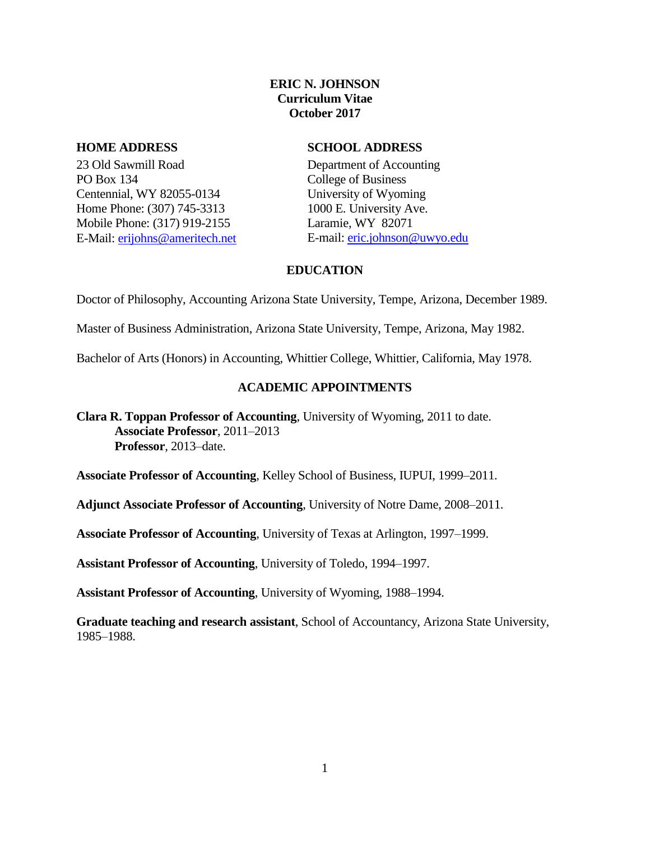# **ERIC N. JOHNSON Curriculum Vitae October 2017**

23 Old Sawmill Road PO Box 134 Centennial, WY 82055-0134 Home Phone: (307) 745-3313 Mobile Phone: (317) 919-2155 E-Mail: [erijohns@ameritech.net](mailto:erijohns@ameritech.net)

## **HOME ADDRESS SCHOOL ADDRESS**

Department of Accounting College of Business University of Wyoming 1000 E. University Ave. Laramie, WY 82071 E-mail: [eric.johnson@uwyo.edu](mailto:eric.johnson@uwyo.edu)

## **EDUCATION**

Doctor of Philosophy, Accounting Arizona State University, Tempe, Arizona, December 1989.

Master of Business Administration, Arizona State University, Tempe, Arizona, May 1982.

Bachelor of Arts (Honors) in Accounting, Whittier College, Whittier, California, May 1978.

## **ACADEMIC APPOINTMENTS**

**Clara R. Toppan Professor of Accounting**, University of Wyoming, 2011 to date. **Associate Professor**, 2011–2013 **Professor**, 2013–date.

**Associate Professor of Accounting**, Kelley School of Business, IUPUI, 1999–2011.

**Adjunct Associate Professor of Accounting**, University of Notre Dame, 2008–2011.

**Associate Professor of Accounting**, University of Texas at Arlington, 1997–1999.

**Assistant Professor of Accounting**, University of Toledo, 1994–1997.

**Assistant Professor of Accounting**, University of Wyoming, 1988–1994.

**Graduate teaching and research assistant**, School of Accountancy, Arizona State University, 1985–1988.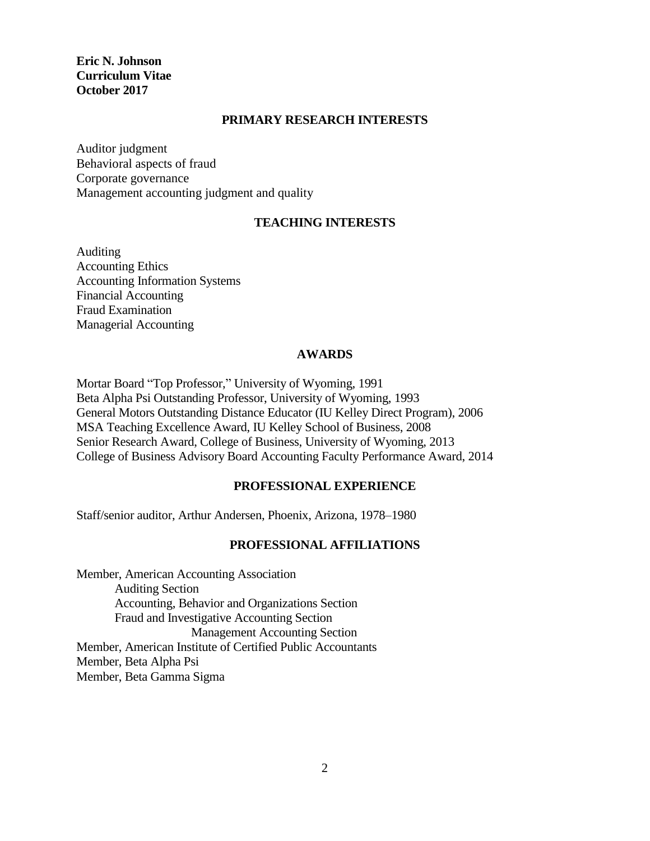## **PRIMARY RESEARCH INTERESTS**

Auditor judgment Behavioral aspects of fraud Corporate governance Management accounting judgment and quality

#### **TEACHING INTERESTS**

Auditing Accounting Ethics Accounting Information Systems Financial Accounting Fraud Examination Managerial Accounting

#### **AWARDS**

Mortar Board "Top Professor," University of Wyoming, 1991 Beta Alpha Psi Outstanding Professor, University of Wyoming, 1993 General Motors Outstanding Distance Educator (IU Kelley Direct Program), 2006 MSA Teaching Excellence Award, IU Kelley School of Business, 2008 Senior Research Award, College of Business, University of Wyoming, 2013 College of Business Advisory Board Accounting Faculty Performance Award, 2014

#### **PROFESSIONAL EXPERIENCE**

Staff/senior auditor, Arthur Andersen, Phoenix, Arizona, 1978–1980

## **PROFESSIONAL AFFILIATIONS**

Member, American Accounting Association Auditing Section Accounting, Behavior and Organizations Section Fraud and Investigative Accounting Section Management Accounting Section Member, American Institute of Certified Public Accountants Member, Beta Alpha Psi Member, Beta Gamma Sigma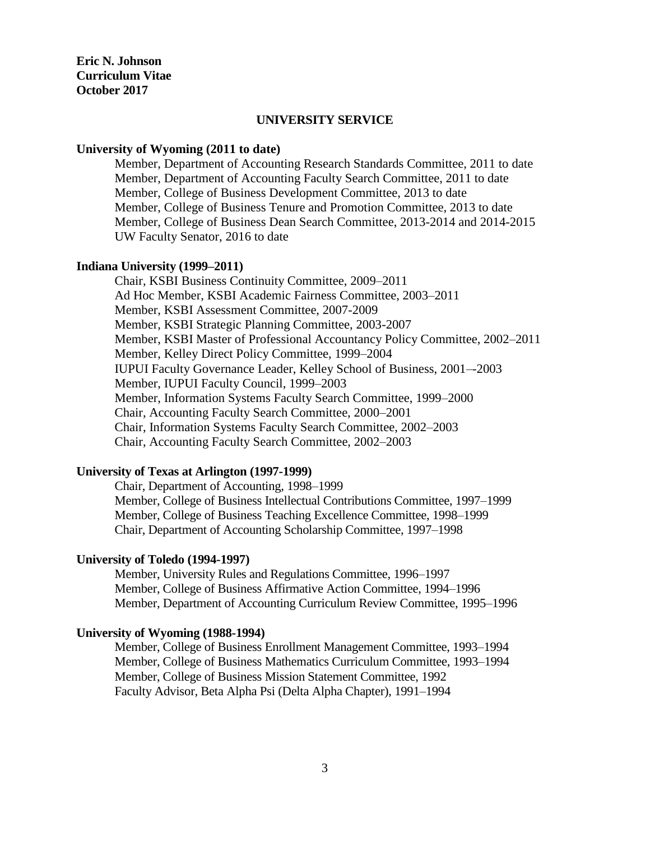#### **UNIVERSITY SERVICE**

#### **University of Wyoming (2011 to date)**

Member, Department of Accounting Research Standards Committee, 2011 to date Member, Department of Accounting Faculty Search Committee, 2011 to date Member, College of Business Development Committee, 2013 to date Member, College of Business Tenure and Promotion Committee, 2013 to date Member, College of Business Dean Search Committee, 2013-2014 and 2014-2015 UW Faculty Senator, 2016 to date

#### **Indiana University (1999–2011)**

Chair, KSBI Business Continuity Committee, 2009–2011 Ad Hoc Member, KSBI Academic Fairness Committee, 2003–2011 Member, KSBI Assessment Committee, 2007-2009 Member, KSBI Strategic Planning Committee, 2003-2007 Member, KSBI Master of Professional Accountancy Policy Committee, 2002–2011 Member, Kelley Direct Policy Committee, 1999–2004 IUPUI Faculty Governance Leader, Kelley School of Business, 2001–-2003 Member, IUPUI Faculty Council, 1999–2003 Member, Information Systems Faculty Search Committee, 1999–2000 Chair, Accounting Faculty Search Committee, 2000–2001 Chair, Information Systems Faculty Search Committee, 2002–2003 Chair, Accounting Faculty Search Committee, 2002–2003

#### **University of Texas at Arlington (1997-1999)**

Chair, Department of Accounting, 1998–1999 Member, College of Business Intellectual Contributions Committee, 1997–1999 Member, College of Business Teaching Excellence Committee, 1998–1999 Chair, Department of Accounting Scholarship Committee, 1997–1998

#### **University of Toledo (1994-1997)**

Member, University Rules and Regulations Committee, 1996–1997 Member, College of Business Affirmative Action Committee, 1994–1996 Member, Department of Accounting Curriculum Review Committee, 1995–1996

## **University of Wyoming (1988-1994)**

Member, College of Business Enrollment Management Committee, 1993–1994 Member, College of Business Mathematics Curriculum Committee, 1993–1994 Member, College of Business Mission Statement Committee, 1992 Faculty Advisor, Beta Alpha Psi (Delta Alpha Chapter), 1991–1994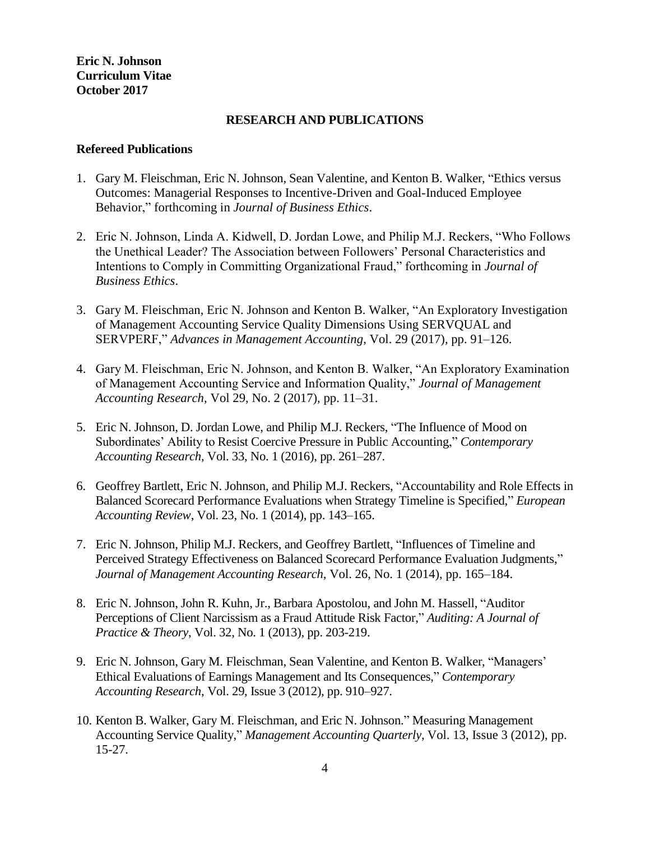#### **RESEARCH AND PUBLICATIONS**

#### **Refereed Publications**

- 1. Gary M. Fleischman, Eric N. Johnson, Sean Valentine, and Kenton B. Walker, "Ethics versus Outcomes: Managerial Responses to Incentive-Driven and Goal-Induced Employee Behavior," forthcoming in *Journal of Business Ethics*.
- 2. Eric N. Johnson, Linda A. Kidwell, D. Jordan Lowe, and Philip M.J. Reckers, "Who Follows the Unethical Leader? The Association between Followers' Personal Characteristics and Intentions to Comply in Committing Organizational Fraud," forthcoming in *Journal of Business Ethics*.
- 3. Gary M. Fleischman, Eric N. Johnson and Kenton B. Walker, "An Exploratory Investigation of Management Accounting Service Quality Dimensions Using SERVQUAL and SERVPERF," *Advances in Management Accounting*, Vol. 29 (2017), pp. 91–126.
- 4. Gary M. Fleischman, Eric N. Johnson, and Kenton B. Walker, "An Exploratory Examination of Management Accounting Service and Information Quality," *Journal of Management Accounting Research*, Vol 29, No. 2 (2017), pp. 11–31.
- 5. Eric N. Johnson, D. Jordan Lowe, and Philip M.J. Reckers, "The Influence of Mood on Subordinates' Ability to Resist Coercive Pressure in Public Accounting," *Contemporary Accounting Research,* Vol. 33, No. 1 (2016), pp. 261–287.
- 6. Geoffrey Bartlett, Eric N. Johnson, and Philip M.J. Reckers, "Accountability and Role Effects in Balanced Scorecard Performance Evaluations when Strategy Timeline is Specified," *European Accounting Review*, Vol. 23, No. 1 (2014), pp. 143–165.
- 7. Eric N. Johnson, Philip M.J. Reckers, and Geoffrey Bartlett, "Influences of Timeline and Perceived Strategy Effectiveness on Balanced Scorecard Performance Evaluation Judgments," *Journal of Management Accounting Research*, Vol. 26, No. 1 (2014), pp. 165–184.
- 8. Eric N. Johnson, John R. Kuhn, Jr., Barbara Apostolou, and John M. Hassell, "Auditor Perceptions of Client Narcissism as a Fraud Attitude Risk Factor," *Auditing: A Journal of Practice & Theory*, Vol. 32, No. 1 (2013), pp. 203-219.
- 9. Eric N. Johnson, Gary M. Fleischman, Sean Valentine, and Kenton B. Walker, "Managers' Ethical Evaluations of Earnings Management and Its Consequences," *Contemporary Accounting Research*, Vol. 29, Issue 3 (2012), pp. 910–927.
- 10. Kenton B. Walker, Gary M. Fleischman, and Eric N. Johnson." Measuring Management Accounting Service Quality," *Management Accounting Quarterly*, Vol. 13, Issue 3 (2012), pp. 15-27.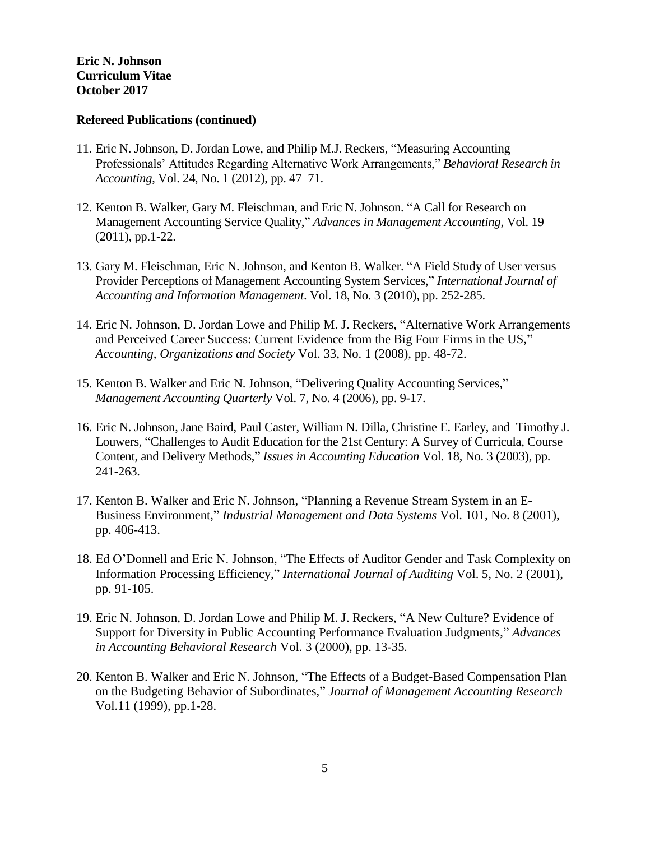#### **Refereed Publications (continued)**

- 11. Eric N. Johnson, D. Jordan Lowe, and Philip M.J. Reckers, "Measuring Accounting Professionals' Attitudes Regarding Alternative Work Arrangements," *Behavioral Research in Accounting*, Vol. 24, No. 1 (2012), pp. 47–71.
- 12. Kenton B. Walker, Gary M. Fleischman, and Eric N. Johnson. "A Call for Research on Management Accounting Service Quality," *Advances in Management Accounting*, Vol. 19 (2011), pp.1-22.
- 13. Gary M. Fleischman, Eric N. Johnson, and Kenton B. Walker. "A Field Study of User versus Provider Perceptions of Management Accounting System Services," *International Journal of Accounting and Information Management*. Vol. 18, No. 3 (2010), pp. 252-285.
- 14. Eric N. Johnson, D. Jordan Lowe and Philip M. J. Reckers, "Alternative Work Arrangements and Perceived Career Success: Current Evidence from the Big Four Firms in the US," *Accounting, Organizations and Society* Vol. 33, No. 1 (2008), pp. 48-72.
- 15. Kenton B. Walker and Eric N. Johnson, "Delivering Quality Accounting Services," *Management Accounting Quarterly* Vol. 7, No. 4 (2006), pp. 9-17.
- 16. Eric N. Johnson, Jane Baird, Paul Caster, William N. Dilla, Christine E. Earley, and Timothy J. Louwers, "Challenges to Audit Education for the 21st Century: A Survey of Curricula, Course Content, and Delivery Methods," *Issues in Accounting Education* Vol. 18, No. 3 (2003), pp. 241-263.
- 17. Kenton B. Walker and Eric N. Johnson, "Planning a Revenue Stream System in an E-Business Environment," *Industrial Management and Data Systems* Vol. 101, No. 8 (2001), pp. 406-413.
- 18. Ed O'Donnell and Eric N. Johnson, "The Effects of Auditor Gender and Task Complexity on Information Processing Efficiency," *International Journal of Auditing* Vol. 5, No. 2 (2001), pp. 91-105.
- 19. Eric N. Johnson, D. Jordan Lowe and Philip M. J. Reckers, "A New Culture? Evidence of Support for Diversity in Public Accounting Performance Evaluation Judgments," *Advances in Accounting Behavioral Research* Vol. 3 (2000), pp. 13-35*.*
- 20. Kenton B. Walker and Eric N. Johnson, "The Effects of a Budget-Based Compensation Plan on the Budgeting Behavior of Subordinates," *Journal of Management Accounting Research* Vol.11 (1999), pp.1-28.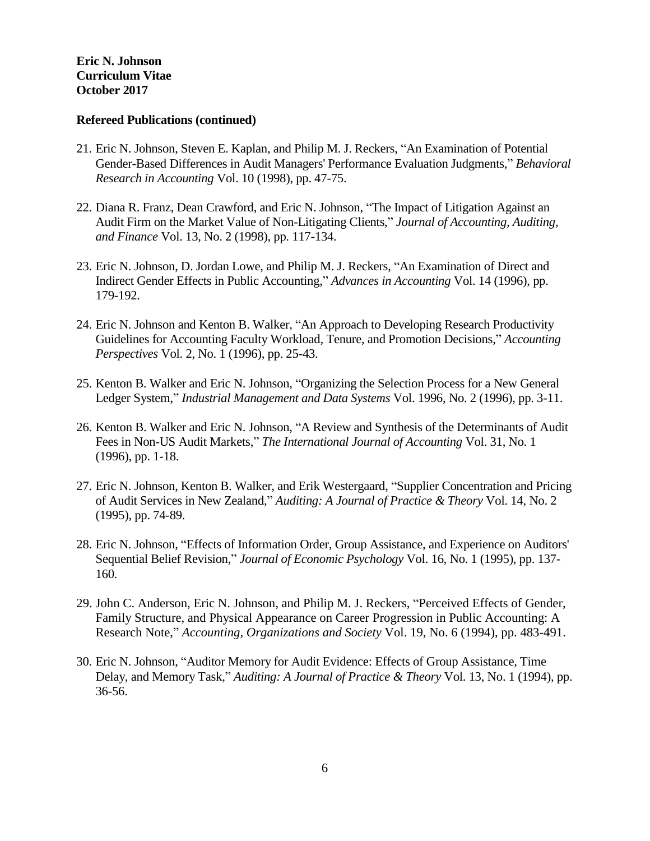#### **Refereed Publications (continued)**

- 21. Eric N. Johnson, Steven E. Kaplan, and Philip M. J. Reckers, "An Examination of Potential Gender-Based Differences in Audit Managers' Performance Evaluation Judgments," *Behavioral Research in Accounting* Vol. 10 (1998), pp. 47-75.
- 22. Diana R. Franz, Dean Crawford, and Eric N. Johnson, "The Impact of Litigation Against an Audit Firm on the Market Value of Non-Litigating Clients," *Journal of Accounting, Auditing, and Finance* Vol. 13, No. 2 (1998), pp. 117-134.
- 23. Eric N. Johnson, D. Jordan Lowe, and Philip M. J. Reckers, "An Examination of Direct and Indirect Gender Effects in Public Accounting," *Advances in Accounting* Vol. 14 (1996), pp. 179-192.
- 24. Eric N. Johnson and Kenton B. Walker, "An Approach to Developing Research Productivity Guidelines for Accounting Faculty Workload, Tenure, and Promotion Decisions," *Accounting Perspectives* Vol. 2, No. 1 (1996), pp. 25-43.
- 25. Kenton B. Walker and Eric N. Johnson, "Organizing the Selection Process for a New General Ledger System," *Industrial Management and Data Systems* Vol. 1996, No. 2 (1996), pp. 3-11.
- 26. Kenton B. Walker and Eric N. Johnson, "A Review and Synthesis of the Determinants of Audit Fees in Non-US Audit Markets," *The International Journal of Accounting* Vol. 31, No. 1 (1996), pp. 1-18.
- 27. Eric N. Johnson, Kenton B. Walker, and Erik Westergaard, "Supplier Concentration and Pricing of Audit Services in New Zealand," *Auditing: A Journal of Practice & Theory* Vol. 14, No. 2 (1995), pp. 74-89.
- 28. Eric N. Johnson, "Effects of Information Order, Group Assistance, and Experience on Auditors' Sequential Belief Revision," *Journal of Economic Psychology* Vol. 16, No. 1 (1995), pp. 137- 160.
- 29. John C. Anderson, Eric N. Johnson, and Philip M. J. Reckers, "Perceived Effects of Gender, Family Structure, and Physical Appearance on Career Progression in Public Accounting: A Research Note," *Accounting, Organizations and Society* Vol. 19, No. 6 (1994), pp. 483-491.
- 30. Eric N. Johnson, "Auditor Memory for Audit Evidence: Effects of Group Assistance, Time Delay, and Memory Task," *Auditing: A Journal of Practice & Theory* Vol. 13, No. 1 (1994), pp. 36-56.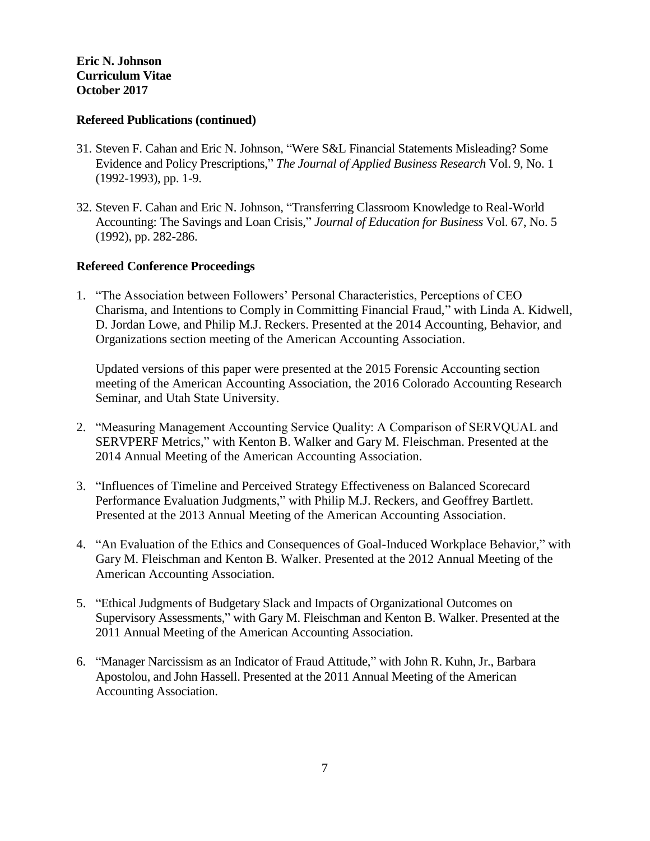## **Refereed Publications (continued)**

- 31. Steven F. Cahan and Eric N. Johnson, "Were S&L Financial Statements Misleading? Some Evidence and Policy Prescriptions," *The Journal of Applied Business Research* Vol. 9, No. 1 (1992-1993), pp. 1-9.
- 32. Steven F. Cahan and Eric N. Johnson, "Transferring Classroom Knowledge to Real-World Accounting: The Savings and Loan Crisis," *Journal of Education for Business* Vol. 67, No. 5 (1992), pp. 282-286.

## **Refereed Conference Proceedings**

1. "The Association between Followers' Personal Characteristics, Perceptions of CEO Charisma, and Intentions to Comply in Committing Financial Fraud," with Linda A. Kidwell, D. Jordan Lowe, and Philip M.J. Reckers. Presented at the 2014 Accounting, Behavior, and Organizations section meeting of the American Accounting Association.

Updated versions of this paper were presented at the 2015 Forensic Accounting section meeting of the American Accounting Association, the 2016 Colorado Accounting Research Seminar, and Utah State University.

- 2. "Measuring Management Accounting Service Quality: A Comparison of SERVQUAL and SERVPERF Metrics," with Kenton B. Walker and Gary M. Fleischman. Presented at the 2014 Annual Meeting of the American Accounting Association.
- 3. "Influences of Timeline and Perceived Strategy Effectiveness on Balanced Scorecard Performance Evaluation Judgments," with Philip M.J. Reckers, and Geoffrey Bartlett. Presented at the 2013 Annual Meeting of the American Accounting Association.
- 4. "An Evaluation of the Ethics and Consequences of Goal-Induced Workplace Behavior," with Gary M. Fleischman and Kenton B. Walker. Presented at the 2012 Annual Meeting of the American Accounting Association.
- 5. "Ethical Judgments of Budgetary Slack and Impacts of Organizational Outcomes on Supervisory Assessments," with Gary M. Fleischman and Kenton B. Walker. Presented at the 2011 Annual Meeting of the American Accounting Association.
- 6. "Manager Narcissism as an Indicator of Fraud Attitude," with John R. Kuhn, Jr., Barbara Apostolou, and John Hassell. Presented at the 2011 Annual Meeting of the American Accounting Association.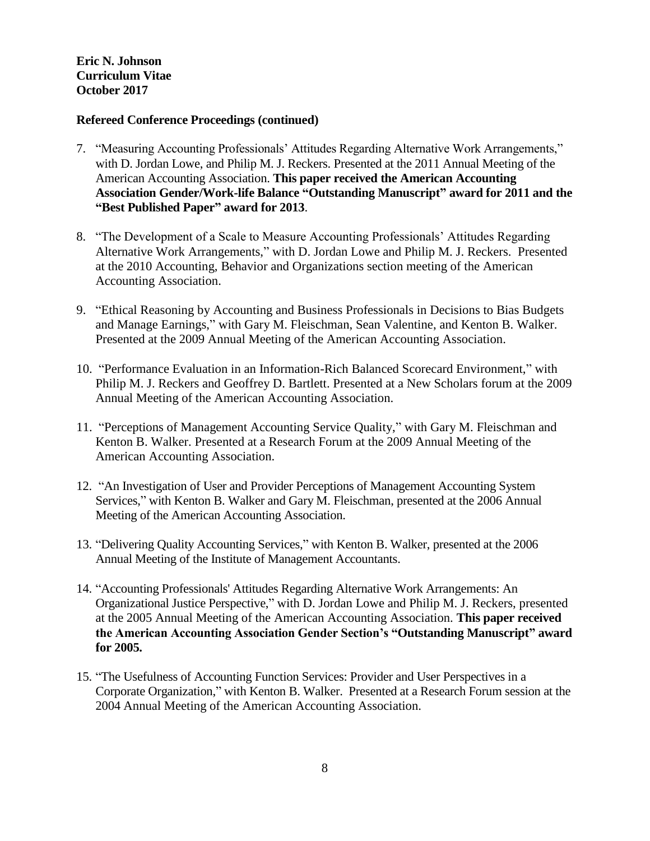## **Refereed Conference Proceedings (continued)**

- 7. "Measuring Accounting Professionals' Attitudes Regarding Alternative Work Arrangements," with D. Jordan Lowe, and Philip M. J. Reckers. Presented at the 2011 Annual Meeting of the American Accounting Association. **This paper received the American Accounting Association Gender/Work-life Balance "Outstanding Manuscript" award for 2011 and the "Best Published Paper" award for 2013**.
- 8. "The Development of a Scale to Measure Accounting Professionals' Attitudes Regarding Alternative Work Arrangements," with D. Jordan Lowe and Philip M. J. Reckers. Presented at the 2010 Accounting, Behavior and Organizations section meeting of the American Accounting Association.
- 9. "Ethical Reasoning by Accounting and Business Professionals in Decisions to Bias Budgets and Manage Earnings," with Gary M. Fleischman, Sean Valentine, and Kenton B. Walker. Presented at the 2009 Annual Meeting of the American Accounting Association.
- 10. "Performance Evaluation in an Information-Rich Balanced Scorecard Environment," with Philip M. J. Reckers and Geoffrey D. Bartlett. Presented at a New Scholars forum at the 2009 Annual Meeting of the American Accounting Association.
- 11. "Perceptions of Management Accounting Service Quality," with Gary M. Fleischman and Kenton B. Walker. Presented at a Research Forum at the 2009 Annual Meeting of the American Accounting Association.
- 12. "An Investigation of User and Provider Perceptions of Management Accounting System Services," with Kenton B. Walker and Gary M. Fleischman, presented at the 2006 Annual Meeting of the American Accounting Association.
- 13. "Delivering Quality Accounting Services," with Kenton B. Walker, presented at the 2006 Annual Meeting of the Institute of Management Accountants.
- 14. "Accounting Professionals' Attitudes Regarding Alternative Work Arrangements: An Organizational Justice Perspective," with D. Jordan Lowe and Philip M. J. Reckers, presented at the 2005 Annual Meeting of the American Accounting Association. **This paper received the American Accounting Association Gender Section's "Outstanding Manuscript" award for 2005.**
- 15. "The Usefulness of Accounting Function Services: Provider and User Perspectives in a Corporate Organization," with Kenton B. Walker. Presented at a Research Forum session at the 2004 Annual Meeting of the American Accounting Association.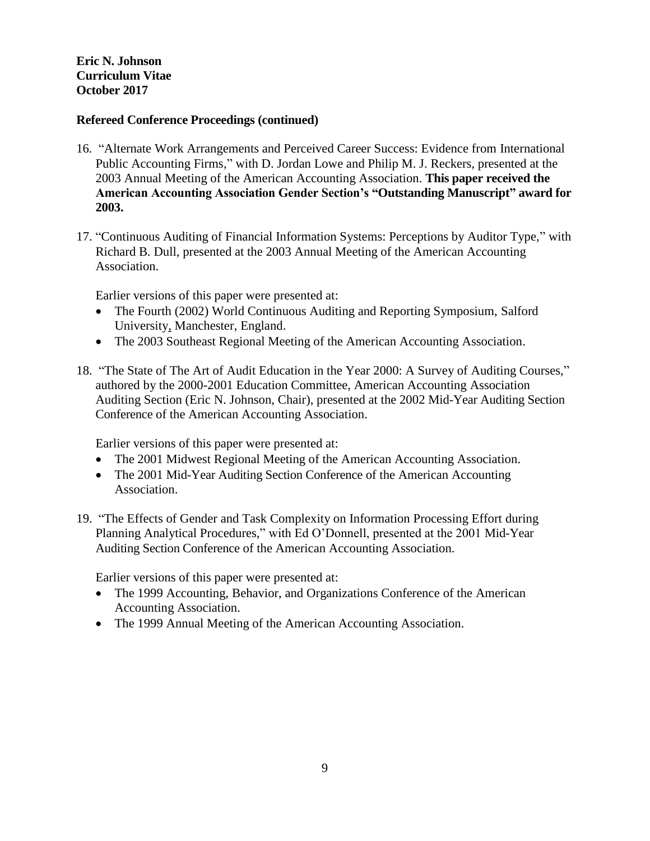# **Refereed Conference Proceedings (continued)**

- 16. "Alternate Work Arrangements and Perceived Career Success: Evidence from International Public Accounting Firms," with D. Jordan Lowe and Philip M. J. Reckers, presented at the 2003 Annual Meeting of the American Accounting Association. **This paper received the American Accounting Association Gender Section's "Outstanding Manuscript" award for 2003.**
- 17. "Continuous Auditing of Financial Information Systems: Perceptions by Auditor Type," with Richard B. Dull, presented at the 2003 Annual Meeting of the American Accounting Association.

Earlier versions of this paper were presented at:

- The Fourth (2002) World Continuous Auditing and Reporting Symposium, Salford [University,](http://www.salford.ac.uk/) Manchester, England.
- The 2003 Southeast Regional Meeting of the American Accounting Association.
- 18. "The State of The Art of Audit Education in the Year 2000: A Survey of Auditing Courses," authored by the 2000-2001 Education Committee, American Accounting Association Auditing Section (Eric N. Johnson, Chair), presented at the 2002 Mid-Year Auditing Section Conference of the American Accounting Association.

Earlier versions of this paper were presented at:

- The 2001 Midwest Regional Meeting of the American Accounting Association.
- The 2001 Mid-Year Auditing Section Conference of the American Accounting Association.
- 19. "The Effects of Gender and Task Complexity on Information Processing Effort during Planning Analytical Procedures," with Ed O'Donnell, presented at the 2001 Mid-Year Auditing Section Conference of the American Accounting Association.

Earlier versions of this paper were presented at:

- The 1999 Accounting, Behavior, and Organizations Conference of the American Accounting Association.
- The 1999 Annual Meeting of the American Accounting Association.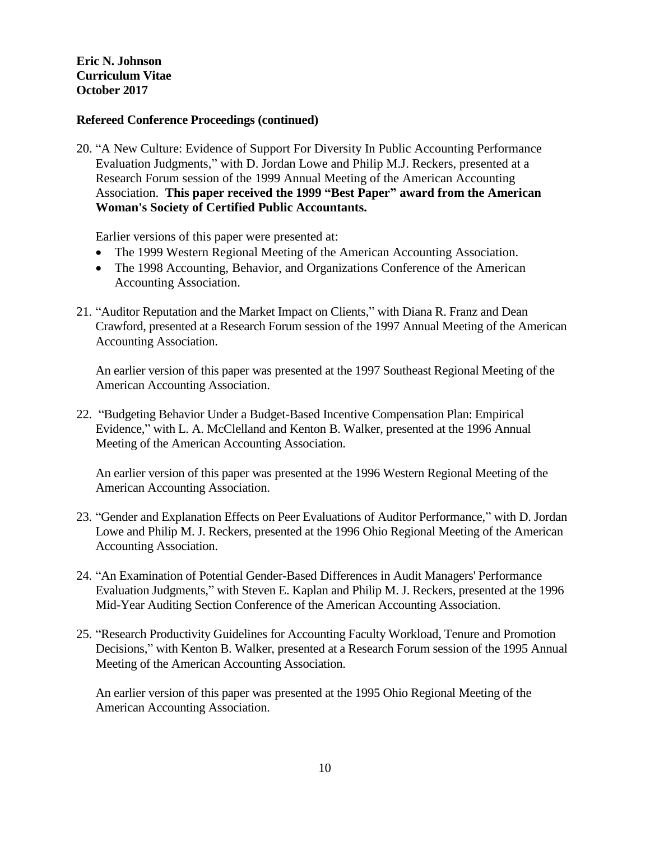## **Refereed Conference Proceedings (continued)**

20. "A New Culture: Evidence of Support For Diversity In Public Accounting Performance Evaluation Judgments," with D. Jordan Lowe and Philip M.J. Reckers, presented at a Research Forum session of the 1999 Annual Meeting of the American Accounting Association. **This paper received the 1999 "Best Paper" award from the American Woman's Society of Certified Public Accountants.**

Earlier versions of this paper were presented at:

- The 1999 Western Regional Meeting of the American Accounting Association.
- The 1998 Accounting, Behavior, and Organizations Conference of the American Accounting Association.
- 21. "Auditor Reputation and the Market Impact on Clients," with Diana R. Franz and Dean Crawford, presented at a Research Forum session of the 1997 Annual Meeting of the American Accounting Association.

An earlier version of this paper was presented at the 1997 Southeast Regional Meeting of the American Accounting Association.

22. "Budgeting Behavior Under a Budget-Based Incentive Compensation Plan: Empirical Evidence," with L. A. McClelland and Kenton B. Walker, presented at the 1996 Annual Meeting of the American Accounting Association.

An earlier version of this paper was presented at the 1996 Western Regional Meeting of the American Accounting Association.

- 23. "Gender and Explanation Effects on Peer Evaluations of Auditor Performance," with D. Jordan Lowe and Philip M. J. Reckers, presented at the 1996 Ohio Regional Meeting of the American Accounting Association.
- 24. "An Examination of Potential Gender-Based Differences in Audit Managers' Performance Evaluation Judgments," with Steven E. Kaplan and Philip M. J. Reckers, presented at the 1996 Mid-Year Auditing Section Conference of the American Accounting Association.
- 25. "Research Productivity Guidelines for Accounting Faculty Workload, Tenure and Promotion Decisions," with Kenton B. Walker, presented at a Research Forum session of the 1995 Annual Meeting of the American Accounting Association.

An earlier version of this paper was presented at the 1995 Ohio Regional Meeting of the American Accounting Association.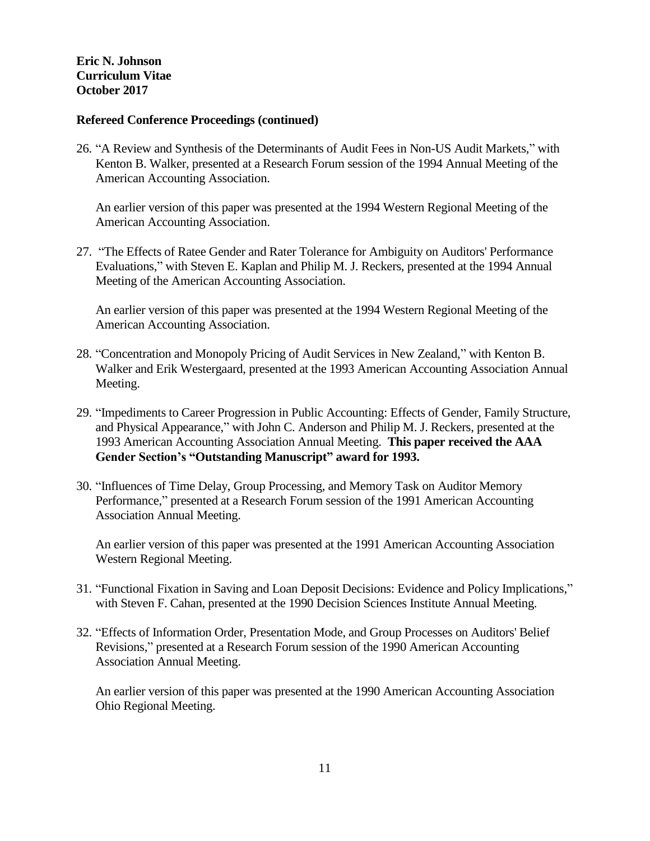#### **Refereed Conference Proceedings (continued)**

26. "A Review and Synthesis of the Determinants of Audit Fees in Non-US Audit Markets," with Kenton B. Walker, presented at a Research Forum session of the 1994 Annual Meeting of the American Accounting Association.

An earlier version of this paper was presented at the 1994 Western Regional Meeting of the American Accounting Association.

27. "The Effects of Ratee Gender and Rater Tolerance for Ambiguity on Auditors' Performance Evaluations," with Steven E. Kaplan and Philip M. J. Reckers, presented at the 1994 Annual Meeting of the American Accounting Association.

An earlier version of this paper was presented at the 1994 Western Regional Meeting of the American Accounting Association.

- 28. "Concentration and Monopoly Pricing of Audit Services in New Zealand," with Kenton B. Walker and Erik Westergaard, presented at the 1993 American Accounting Association Annual Meeting.
- 29. "Impediments to Career Progression in Public Accounting: Effects of Gender, Family Structure, and Physical Appearance," with John C. Anderson and Philip M. J. Reckers, presented at the 1993 American Accounting Association Annual Meeting. **This paper received the AAA Gender Section's "Outstanding Manuscript" award for 1993.**
- 30. "Influences of Time Delay, Group Processing, and Memory Task on Auditor Memory Performance," presented at a Research Forum session of the 1991 American Accounting Association Annual Meeting.

An earlier version of this paper was presented at the 1991 American Accounting Association Western Regional Meeting.

- 31. "Functional Fixation in Saving and Loan Deposit Decisions: Evidence and Policy Implications," with Steven F. Cahan, presented at the 1990 Decision Sciences Institute Annual Meeting.
- 32. "Effects of Information Order, Presentation Mode, and Group Processes on Auditors' Belief Revisions," presented at a Research Forum session of the 1990 American Accounting Association Annual Meeting.

An earlier version of this paper was presented at the 1990 American Accounting Association Ohio Regional Meeting.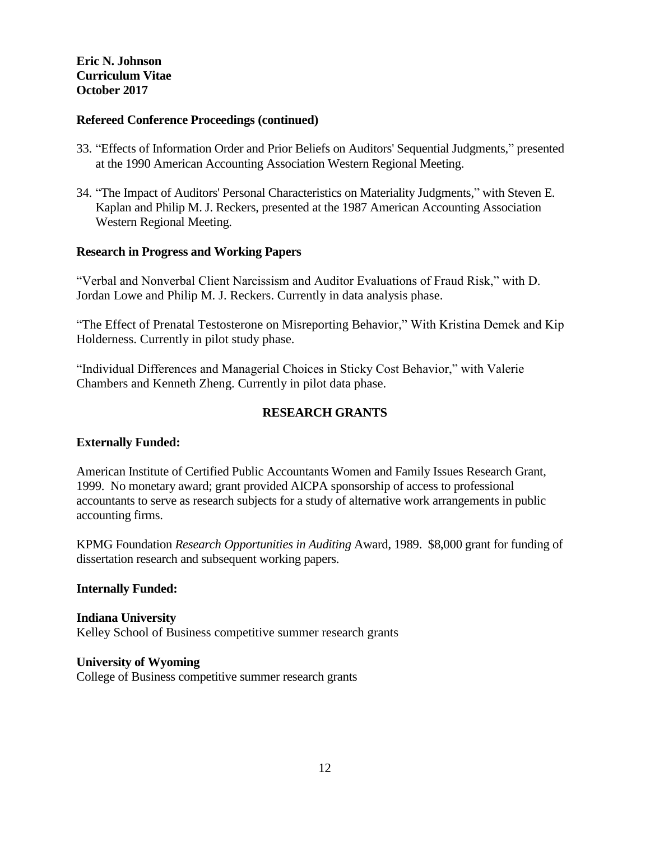## **Refereed Conference Proceedings (continued)**

- 33. "Effects of Information Order and Prior Beliefs on Auditors' Sequential Judgments," presented at the 1990 American Accounting Association Western Regional Meeting.
- 34. "The Impact of Auditors' Personal Characteristics on Materiality Judgments," with Steven E. Kaplan and Philip M. J. Reckers, presented at the 1987 American Accounting Association Western Regional Meeting.

## **Research in Progress and Working Papers**

"Verbal and Nonverbal Client Narcissism and Auditor Evaluations of Fraud Risk," with D. Jordan Lowe and Philip M. J. Reckers. Currently in data analysis phase.

"The Effect of Prenatal Testosterone on Misreporting Behavior," With Kristina Demek and Kip Holderness. Currently in pilot study phase.

"Individual Differences and Managerial Choices in Sticky Cost Behavior," with Valerie Chambers and Kenneth Zheng. Currently in pilot data phase.

# **RESEARCH GRANTS**

## **Externally Funded:**

American Institute of Certified Public Accountants Women and Family Issues Research Grant, 1999. No monetary award; grant provided AICPA sponsorship of access to professional accountants to serve as research subjects for a study of alternative work arrangements in public accounting firms.

KPMG Foundation *Research Opportunities in Auditing* Award, 1989. \$8,000 grant for funding of dissertation research and subsequent working papers.

#### **Internally Funded:**

**Indiana University** Kelley School of Business competitive summer research grants

## **University of Wyoming**

College of Business competitive summer research grants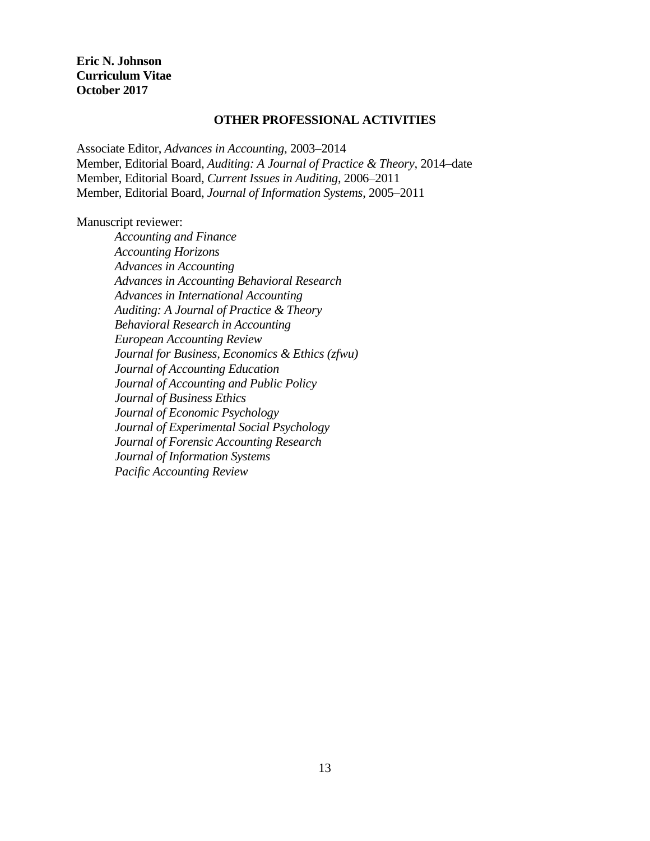## **OTHER PROFESSIONAL ACTIVITIES**

Associate Editor, *Advances in Accounting*, 2003–2014 Member, Editorial Board, *Auditing: A Journal of Practice & Theory*, 2014–date Member, Editorial Board, *Current Issues in Auditing*, 2006–2011 Member, Editorial Board, *Journal of Information Systems*, 2005–2011

Manuscript reviewer:

*Accounting and Finance Accounting Horizons Advances in Accounting Advances in Accounting Behavioral Research Advances in International Accounting Auditing: A Journal of Practice & Theory Behavioral Research in Accounting European Accounting Review Journal for Business, Economics & Ethics (zfwu) Journal of Accounting Education Journal of Accounting and Public Policy Journal of Business Ethics Journal of Economic Psychology Journal of Experimental Social Psychology Journal of Forensic Accounting Research Journal of Information Systems Pacific Accounting Review*